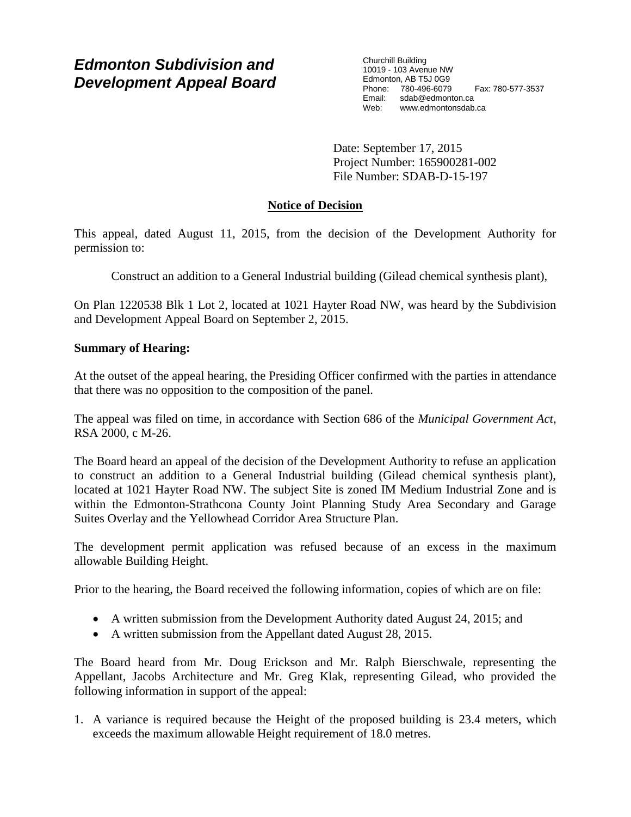# *Edmonton Subdivision and Development Appeal Board*

Churchill Building 10019 - 103 Avenue NW Edmonton, AB T5J 0G9 Phone: 780-496-6079 Fax: 780-577-3537 Email: sdab@edmonton.ca<br>Web: www.edmonton.ca Web: www.edmontonsdab.ca

Date: September 17, 2015 Project Number: 165900281-002 File Number: SDAB-D-15-197

# **Notice of Decision**

This appeal, dated August 11, 2015, from the decision of the Development Authority for permission to:

Construct an addition to a General Industrial building (Gilead chemical synthesis plant),

On Plan 1220538 Blk 1 Lot 2, located at 1021 Hayter Road NW, was heard by the Subdivision and Development Appeal Board on September 2, 2015.

# **Summary of Hearing:**

At the outset of the appeal hearing, the Presiding Officer confirmed with the parties in attendance that there was no opposition to the composition of the panel.

The appeal was filed on time, in accordance with Section 686 of the *Municipal Government Act*, RSA 2000, c M-26.

The Board heard an appeal of the decision of the Development Authority to refuse an application to construct an addition to a General Industrial building (Gilead chemical synthesis plant), located at 1021 Hayter Road NW. The subject Site is zoned IM Medium Industrial Zone and is within the Edmonton-Strathcona County Joint Planning Study Area Secondary and Garage Suites Overlay and the Yellowhead Corridor Area Structure Plan.

The development permit application was refused because of an excess in the maximum allowable Building Height.

Prior to the hearing, the Board received the following information, copies of which are on file:

- A written submission from the Development Authority dated August 24, 2015; and
- A written submission from the Appellant dated August 28, 2015.

The Board heard from Mr. Doug Erickson and Mr. Ralph Bierschwale, representing the Appellant, Jacobs Architecture and Mr. Greg Klak, representing Gilead, who provided the following information in support of the appeal:

1. A variance is required because the Height of the proposed building is 23.4 meters, which exceeds the maximum allowable Height requirement of 18.0 metres.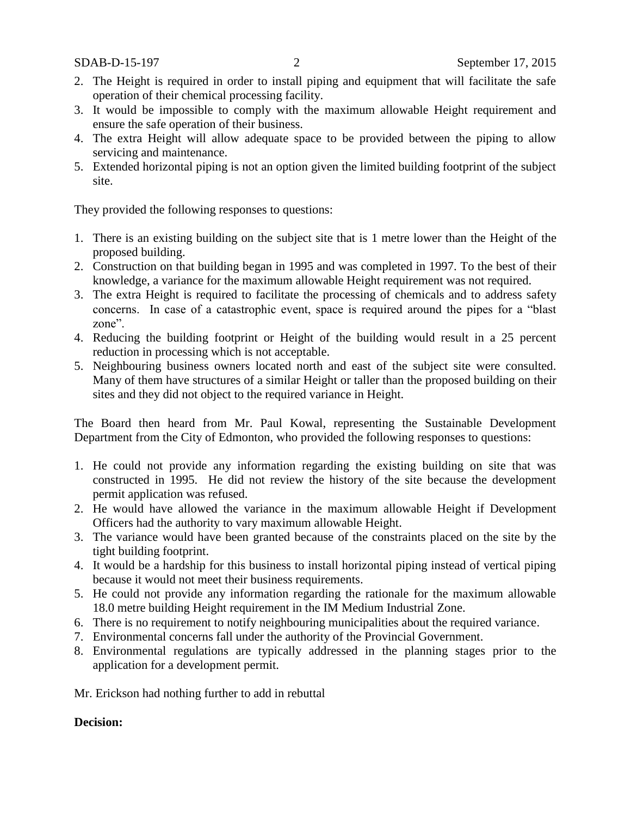- 2. The Height is required in order to install piping and equipment that will facilitate the safe operation of their chemical processing facility.
- 3. It would be impossible to comply with the maximum allowable Height requirement and ensure the safe operation of their business.
- 4. The extra Height will allow adequate space to be provided between the piping to allow servicing and maintenance.
- 5. Extended horizontal piping is not an option given the limited building footprint of the subject site.

They provided the following responses to questions:

- 1. There is an existing building on the subject site that is 1 metre lower than the Height of the proposed building.
- 2. Construction on that building began in 1995 and was completed in 1997. To the best of their knowledge, a variance for the maximum allowable Height requirement was not required.
- 3. The extra Height is required to facilitate the processing of chemicals and to address safety concerns. In case of a catastrophic event, space is required around the pipes for a "blast zone".
- 4. Reducing the building footprint or Height of the building would result in a 25 percent reduction in processing which is not acceptable.
- 5. Neighbouring business owners located north and east of the subject site were consulted. Many of them have structures of a similar Height or taller than the proposed building on their sites and they did not object to the required variance in Height.

The Board then heard from Mr. Paul Kowal, representing the Sustainable Development Department from the City of Edmonton, who provided the following responses to questions:

- 1. He could not provide any information regarding the existing building on site that was constructed in 1995. He did not review the history of the site because the development permit application was refused.
- 2. He would have allowed the variance in the maximum allowable Height if Development Officers had the authority to vary maximum allowable Height.
- 3. The variance would have been granted because of the constraints placed on the site by the tight building footprint.
- 4. It would be a hardship for this business to install horizontal piping instead of vertical piping because it would not meet their business requirements.
- 5. He could not provide any information regarding the rationale for the maximum allowable 18.0 metre building Height requirement in the IM Medium Industrial Zone.
- 6. There is no requirement to notify neighbouring municipalities about the required variance.
- 7. Environmental concerns fall under the authority of the Provincial Government.
- 8. Environmental regulations are typically addressed in the planning stages prior to the application for a development permit.

Mr. Erickson had nothing further to add in rebuttal

## **Decision:**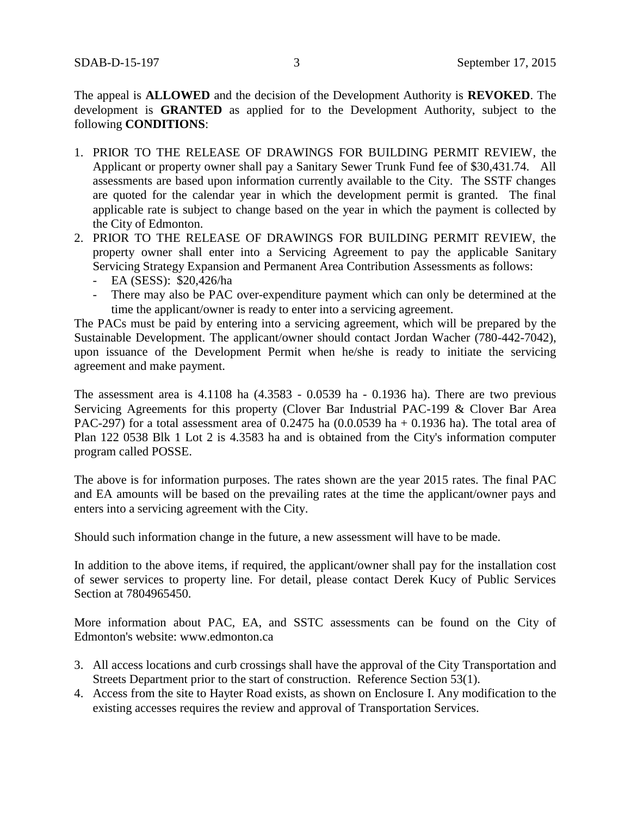The appeal is **ALLOWED** and the decision of the Development Authority is **REVOKED**. The development is **GRANTED** as applied for to the Development Authority, subject to the following **CONDITIONS**:

- 1. PRIOR TO THE RELEASE OF DRAWINGS FOR BUILDING PERMIT REVIEW, the Applicant or property owner shall pay a Sanitary Sewer Trunk Fund fee of \$30,431.74. All assessments are based upon information currently available to the City. The SSTF changes are quoted for the calendar year in which the development permit is granted. The final applicable rate is subject to change based on the year in which the payment is collected by the City of Edmonton.
- 2. PRIOR TO THE RELEASE OF DRAWINGS FOR BUILDING PERMIT REVIEW, the property owner shall enter into a Servicing Agreement to pay the applicable Sanitary Servicing Strategy Expansion and Permanent Area Contribution Assessments as follows:
	- EA (SESS): \$20,426/ha
	- There may also be PAC over-expenditure payment which can only be determined at the time the applicant/owner is ready to enter into a servicing agreement.

The PACs must be paid by entering into a servicing agreement, which will be prepared by the Sustainable Development. The applicant/owner should contact Jordan Wacher (780-442-7042), upon issuance of the Development Permit when he/she is ready to initiate the servicing agreement and make payment.

The assessment area is 4.1108 ha (4.3583 - 0.0539 ha - 0.1936 ha). There are two previous Servicing Agreements for this property (Clover Bar Industrial PAC-199 & Clover Bar Area PAC-297) for a total assessment area of  $0.2475$  ha  $(0.0.0539$  ha  $+ 0.1936$  ha). The total area of Plan 122 0538 Blk 1 Lot 2 is 4.3583 ha and is obtained from the City's information computer program called POSSE.

The above is for information purposes. The rates shown are the year 2015 rates. The final PAC and EA amounts will be based on the prevailing rates at the time the applicant/owner pays and enters into a servicing agreement with the City.

Should such information change in the future, a new assessment will have to be made.

In addition to the above items, if required, the applicant/owner shall pay for the installation cost of sewer services to property line. For detail, please contact Derek Kucy of Public Services Section at 7804965450.

More information about PAC, EA, and SSTC assessments can be found on the City of Edmonton's website: www.edmonton.ca

- 3. All access locations and curb crossings shall have the approval of the City Transportation and Streets Department prior to the start of construction. Reference Section 53(1).
- 4. Access from the site to Hayter Road exists, as shown on Enclosure I. Any modification to the existing accesses requires the review and approval of Transportation Services.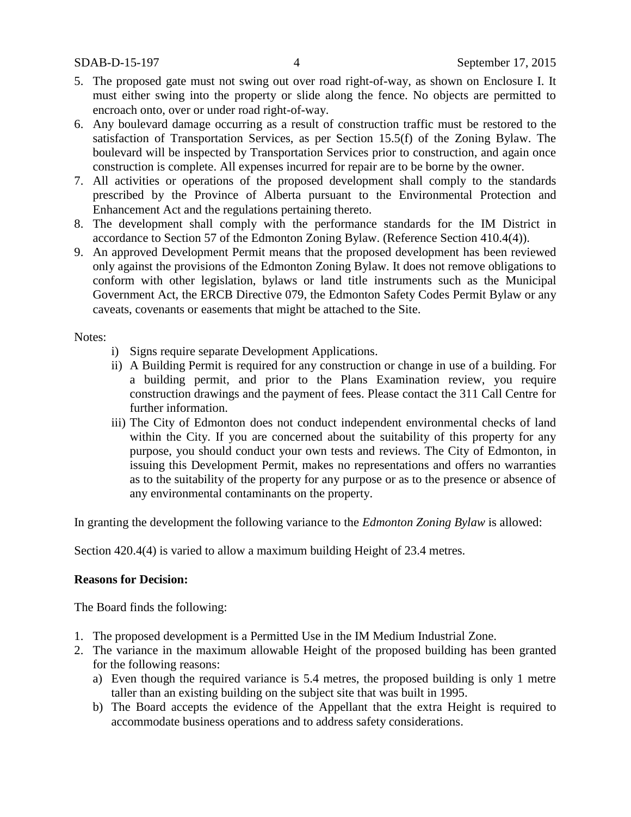- 5. The proposed gate must not swing out over road right-of-way, as shown on Enclosure I. It must either swing into the property or slide along the fence. No objects are permitted to encroach onto, over or under road right-of-way.
- 6. Any boulevard damage occurring as a result of construction traffic must be restored to the satisfaction of Transportation Services, as per Section 15.5(f) of the Zoning Bylaw. The boulevard will be inspected by Transportation Services prior to construction, and again once construction is complete. All expenses incurred for repair are to be borne by the owner.
- 7. All activities or operations of the proposed development shall comply to the standards prescribed by the Province of Alberta pursuant to the Environmental Protection and Enhancement Act and the regulations pertaining thereto.
- 8. The development shall comply with the performance standards for the IM District in accordance to Section 57 of the Edmonton Zoning Bylaw. (Reference Section 410.4(4)).
- 9. An approved Development Permit means that the proposed development has been reviewed only against the provisions of the Edmonton Zoning Bylaw. It does not remove obligations to conform with other legislation, bylaws or land title instruments such as the Municipal Government Act, the ERCB Directive 079, the Edmonton Safety Codes Permit Bylaw or any caveats, covenants or easements that might be attached to the Site.

Notes:

- i) Signs require separate Development Applications.
- ii) A Building Permit is required for any construction or change in use of a building. For a building permit, and prior to the Plans Examination review, you require construction drawings and the payment of fees. Please contact the 311 Call Centre for further information.
- iii) The City of Edmonton does not conduct independent environmental checks of land within the City. If you are concerned about the suitability of this property for any purpose, you should conduct your own tests and reviews. The City of Edmonton, in issuing this Development Permit, makes no representations and offers no warranties as to the suitability of the property for any purpose or as to the presence or absence of any environmental contaminants on the property.

In granting the development the following variance to the *Edmonton Zoning Bylaw* is allowed:

Section 420.4(4) is varied to allow a maximum building Height of 23.4 metres.

#### **Reasons for Decision:**

The Board finds the following:

- 1. The proposed development is a Permitted Use in the IM Medium Industrial Zone.
- 2. The variance in the maximum allowable Height of the proposed building has been granted for the following reasons:
	- a) Even though the required variance is 5.4 metres, the proposed building is only 1 metre taller than an existing building on the subject site that was built in 1995.
	- b) The Board accepts the evidence of the Appellant that the extra Height is required to accommodate business operations and to address safety considerations.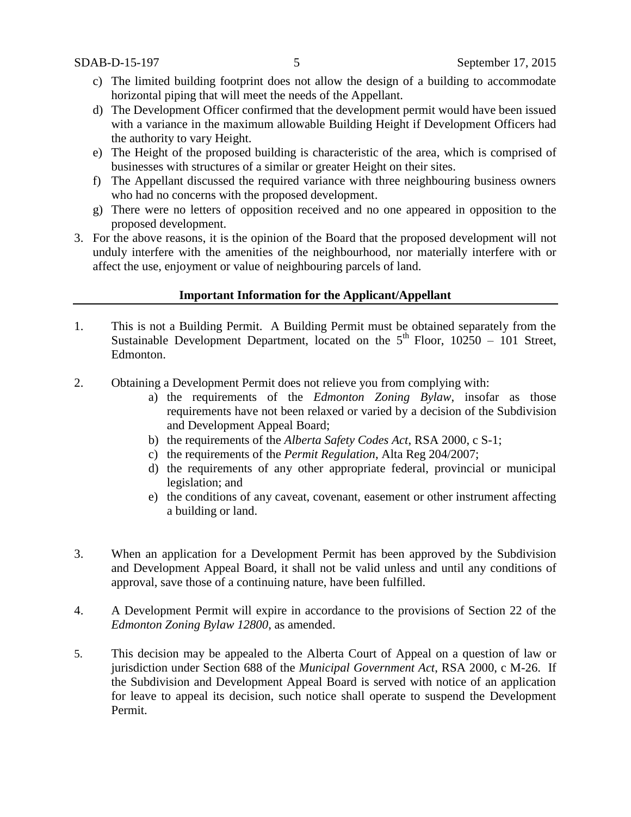- c) The limited building footprint does not allow the design of a building to accommodate horizontal piping that will meet the needs of the Appellant.
- d) The Development Officer confirmed that the development permit would have been issued with a variance in the maximum allowable Building Height if Development Officers had the authority to vary Height.
- e) The Height of the proposed building is characteristic of the area, which is comprised of businesses with structures of a similar or greater Height on their sites.
- f) The Appellant discussed the required variance with three neighbouring business owners who had no concerns with the proposed development.
- g) There were no letters of opposition received and no one appeared in opposition to the proposed development.
- 3. For the above reasons, it is the opinion of the Board that the proposed development will not unduly interfere with the amenities of the neighbourhood, nor materially interfere with or affect the use, enjoyment or value of neighbouring parcels of land.

## **Important Information for the Applicant/Appellant**

- 1. This is not a Building Permit. A Building Permit must be obtained separately from the Sustainable Development Department, located on the  $5<sup>th</sup>$  Floor, 10250 – 101 Street, Edmonton.
- 2. Obtaining a Development Permit does not relieve you from complying with:
	- a) the requirements of the *Edmonton Zoning Bylaw*, insofar as those requirements have not been relaxed or varied by a decision of the Subdivision and Development Appeal Board;
	- b) the requirements of the *Alberta Safety Codes Act*, RSA 2000, c S-1;
	- c) the requirements of the *Permit Regulation*, Alta Reg 204/2007;
	- d) the requirements of any other appropriate federal, provincial or municipal legislation; and
	- e) the conditions of any caveat, covenant, easement or other instrument affecting a building or land.
- 3. When an application for a Development Permit has been approved by the Subdivision and Development Appeal Board, it shall not be valid unless and until any conditions of approval, save those of a continuing nature, have been fulfilled.
- 4. A Development Permit will expire in accordance to the provisions of Section 22 of the *Edmonton Zoning Bylaw 12800*, as amended.
- 5. This decision may be appealed to the Alberta Court of Appeal on a question of law or jurisdiction under Section 688 of the *Municipal Government Act*, RSA 2000, c M-26. If the Subdivision and Development Appeal Board is served with notice of an application for leave to appeal its decision, such notice shall operate to suspend the Development Permit.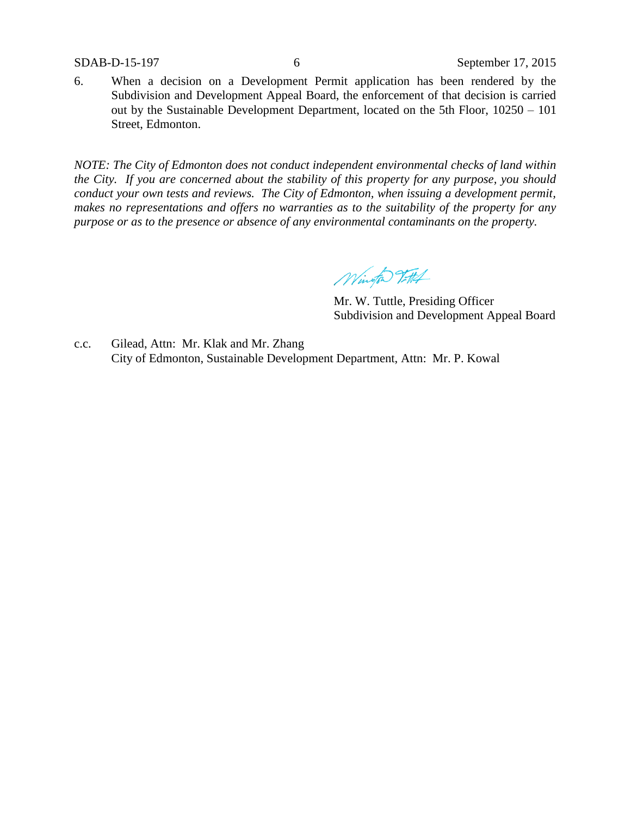6. When a decision on a Development Permit application has been rendered by the Subdivision and Development Appeal Board, the enforcement of that decision is carried out by the Sustainable Development Department, located on the 5th Floor, 10250 – 101 Street, Edmonton.

*NOTE: The City of Edmonton does not conduct independent environmental checks of land within the City. If you are concerned about the stability of this property for any purpose, you should conduct your own tests and reviews. The City of Edmonton, when issuing a development permit, makes no representations and offers no warranties as to the suitability of the property for any purpose or as to the presence or absence of any environmental contaminants on the property.*

Wington Tottel

Mr. W. Tuttle, Presiding Officer Subdivision and Development Appeal Board

c.c. Gilead, Attn: Mr. Klak and Mr. Zhang City of Edmonton, Sustainable Development Department, Attn: Mr. P. Kowal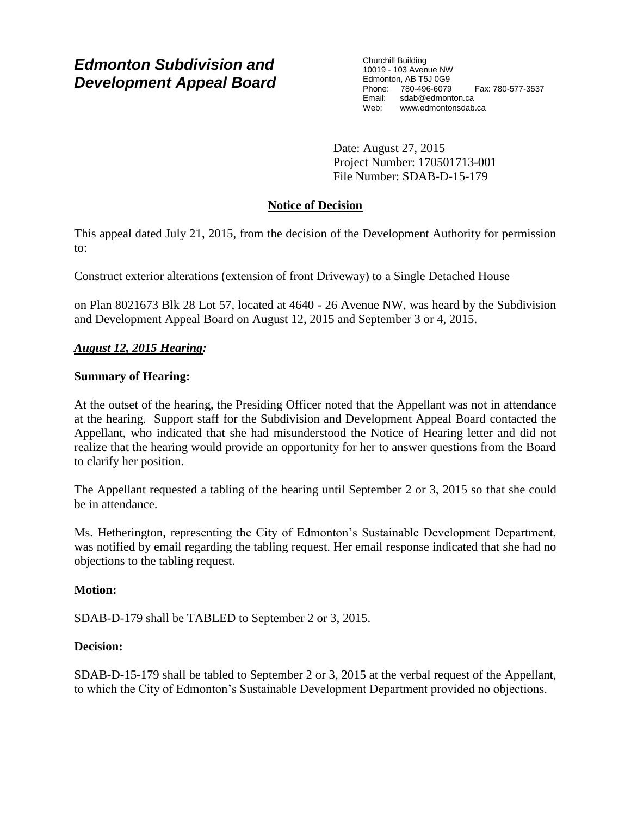# *Edmonton Subdivision and Development Appeal Board*

Churchill Building 10019 - 103 Avenue NW Edmonton, AB T5J 0G9 Phone: 780-496-6079 Fax: 780-577-3537 Email: sdab@edmonton.ca Web: www.edmontonsdab.ca

Date: August 27, 2015 Project Number: 170501713-001 File Number: SDAB-D-15-179

# **Notice of Decision**

This appeal dated July 21, 2015, from the decision of the Development Authority for permission to:

Construct exterior alterations (extension of front Driveway) to a Single Detached House

on Plan 8021673 Blk 28 Lot 57, located at 4640 - 26 Avenue NW, was heard by the Subdivision and Development Appeal Board on August 12, 2015 and September 3 or 4, 2015.

# *August 12, 2015 Hearing:*

# **Summary of Hearing:**

At the outset of the hearing, the Presiding Officer noted that the Appellant was not in attendance at the hearing. Support staff for the Subdivision and Development Appeal Board contacted the Appellant, who indicated that she had misunderstood the Notice of Hearing letter and did not realize that the hearing would provide an opportunity for her to answer questions from the Board to clarify her position.

The Appellant requested a tabling of the hearing until September 2 or 3, 2015 so that she could be in attendance.

Ms. Hetherington, representing the City of Edmonton's Sustainable Development Department, was notified by email regarding the tabling request. Her email response indicated that she had no objections to the tabling request.

# **Motion:**

SDAB-D-179 shall be TABLED to September 2 or 3, 2015.

# **Decision:**

SDAB-D-15-179 shall be tabled to September 2 or 3, 2015 at the verbal request of the Appellant, to which the City of Edmonton's Sustainable Development Department provided no objections.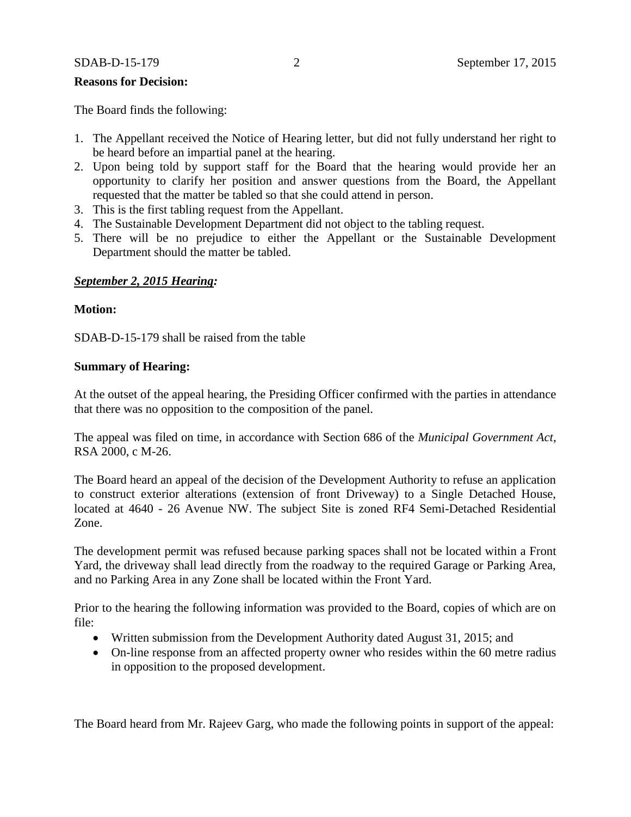#### **Reasons for Decision:**

The Board finds the following:

- 1. The Appellant received the Notice of Hearing letter, but did not fully understand her right to be heard before an impartial panel at the hearing.
- 2. Upon being told by support staff for the Board that the hearing would provide her an opportunity to clarify her position and answer questions from the Board, the Appellant requested that the matter be tabled so that she could attend in person.
- 3. This is the first tabling request from the Appellant.
- 4. The Sustainable Development Department did not object to the tabling request.
- 5. There will be no prejudice to either the Appellant or the Sustainable Development Department should the matter be tabled.

## *September 2, 2015 Hearing:*

## **Motion:**

SDAB-D-15-179 shall be raised from the table

#### **Summary of Hearing:**

At the outset of the appeal hearing, the Presiding Officer confirmed with the parties in attendance that there was no opposition to the composition of the panel.

The appeal was filed on time, in accordance with Section 686 of the *Municipal Government Act*, RSA 2000, c M-26.

The Board heard an appeal of the decision of the Development Authority to refuse an application to construct exterior alterations (extension of front Driveway) to a Single Detached House, located at 4640 - 26 Avenue NW. The subject Site is zoned RF4 Semi-Detached Residential Zone.

The development permit was refused because parking spaces shall not be located within a Front Yard, the driveway shall lead directly from the roadway to the required Garage or Parking Area, and no Parking Area in any Zone shall be located within the Front Yard.

Prior to the hearing the following information was provided to the Board, copies of which are on file:

- Written submission from the Development Authority dated August 31, 2015; and
- On-line response from an affected property owner who resides within the 60 metre radius in opposition to the proposed development.

The Board heard from Mr. Rajeev Garg, who made the following points in support of the appeal: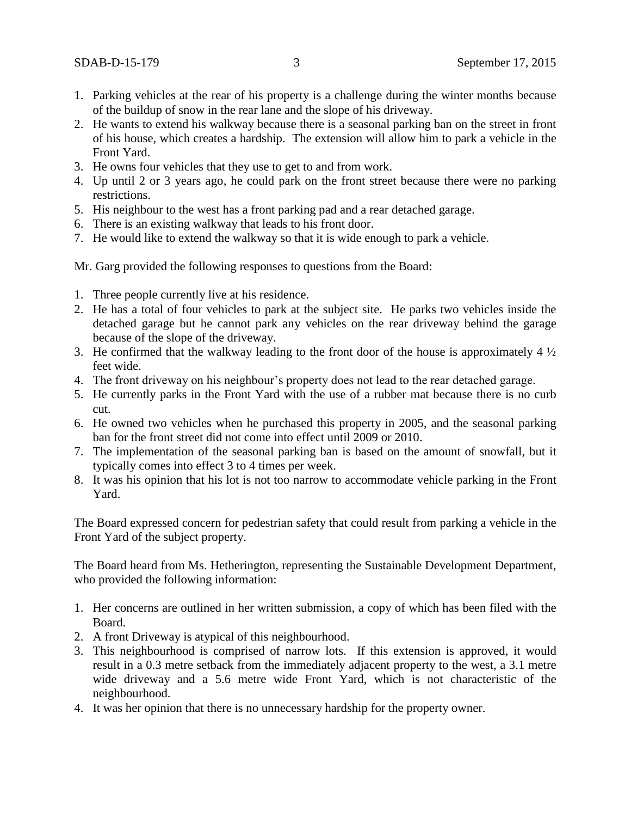- 1. Parking vehicles at the rear of his property is a challenge during the winter months because of the buildup of snow in the rear lane and the slope of his driveway.
- 2. He wants to extend his walkway because there is a seasonal parking ban on the street in front of his house, which creates a hardship. The extension will allow him to park a vehicle in the Front Yard.
- 3. He owns four vehicles that they use to get to and from work.
- 4. Up until 2 or 3 years ago, he could park on the front street because there were no parking restrictions.
- 5. His neighbour to the west has a front parking pad and a rear detached garage.
- 6. There is an existing walkway that leads to his front door.
- 7. He would like to extend the walkway so that it is wide enough to park a vehicle.

Mr. Garg provided the following responses to questions from the Board:

- 1. Three people currently live at his residence.
- 2. He has a total of four vehicles to park at the subject site. He parks two vehicles inside the detached garage but he cannot park any vehicles on the rear driveway behind the garage because of the slope of the driveway.
- 3. He confirmed that the walkway leading to the front door of the house is approximately  $4\frac{1}{2}$ feet wide.
- 4. The front driveway on his neighbour's property does not lead to the rear detached garage.
- 5. He currently parks in the Front Yard with the use of a rubber mat because there is no curb cut.
- 6. He owned two vehicles when he purchased this property in 2005, and the seasonal parking ban for the front street did not come into effect until 2009 or 2010.
- 7. The implementation of the seasonal parking ban is based on the amount of snowfall, but it typically comes into effect 3 to 4 times per week.
- 8. It was his opinion that his lot is not too narrow to accommodate vehicle parking in the Front Yard.

The Board expressed concern for pedestrian safety that could result from parking a vehicle in the Front Yard of the subject property.

The Board heard from Ms. Hetherington, representing the Sustainable Development Department, who provided the following information:

- 1. Her concerns are outlined in her written submission, a copy of which has been filed with the Board.
- 2. A front Driveway is atypical of this neighbourhood.
- 3. This neighbourhood is comprised of narrow lots. If this extension is approved, it would result in a 0.3 metre setback from the immediately adjacent property to the west, a 3.1 metre wide driveway and a 5.6 metre wide Front Yard, which is not characteristic of the neighbourhood.
- 4. It was her opinion that there is no unnecessary hardship for the property owner.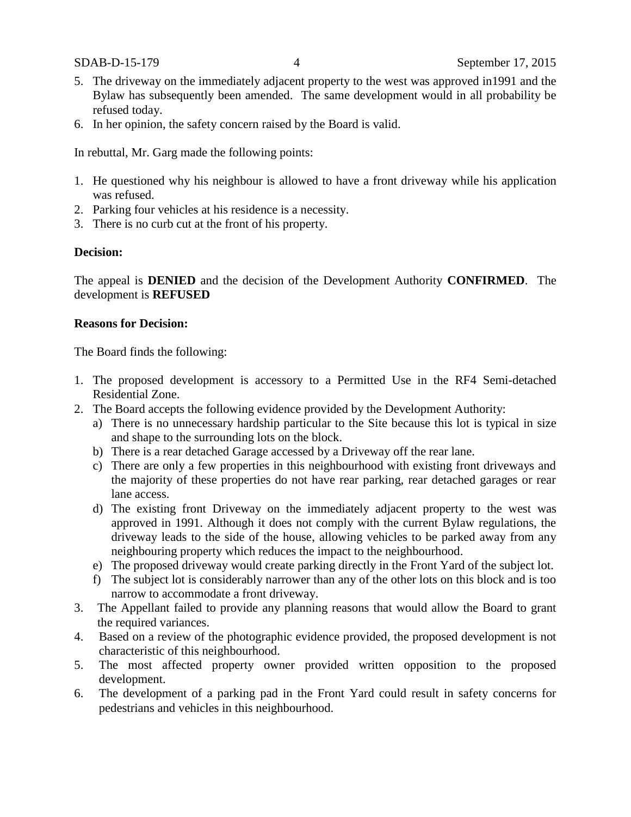- 5. The driveway on the immediately adjacent property to the west was approved in1991 and the Bylaw has subsequently been amended. The same development would in all probability be refused today.
- 6. In her opinion, the safety concern raised by the Board is valid.

In rebuttal, Mr. Garg made the following points:

- 1. He questioned why his neighbour is allowed to have a front driveway while his application was refused.
- 2. Parking four vehicles at his residence is a necessity.
- 3. There is no curb cut at the front of his property.

## **Decision:**

The appeal is **DENIED** and the decision of the Development Authority **CONFIRMED**. The development is **REFUSED**

#### **Reasons for Decision:**

The Board finds the following:

- 1. The proposed development is accessory to a Permitted Use in the RF4 Semi-detached Residential Zone.
- 2. The Board accepts the following evidence provided by the Development Authority:
	- a) There is no unnecessary hardship particular to the Site because this lot is typical in size and shape to the surrounding lots on the block.
	- b) There is a rear detached Garage accessed by a Driveway off the rear lane.
	- c) There are only a few properties in this neighbourhood with existing front driveways and the majority of these properties do not have rear parking, rear detached garages or rear lane access.
	- d) The existing front Driveway on the immediately adjacent property to the west was approved in 1991. Although it does not comply with the current Bylaw regulations, the driveway leads to the side of the house, allowing vehicles to be parked away from any neighbouring property which reduces the impact to the neighbourhood.
	- e) The proposed driveway would create parking directly in the Front Yard of the subject lot.
	- f) The subject lot is considerably narrower than any of the other lots on this block and is too narrow to accommodate a front driveway.
- 3. The Appellant failed to provide any planning reasons that would allow the Board to grant the required variances.
- 4. Based on a review of the photographic evidence provided, the proposed development is not characteristic of this neighbourhood.
- 5. The most affected property owner provided written opposition to the proposed development.
- 6. The development of a parking pad in the Front Yard could result in safety concerns for pedestrians and vehicles in this neighbourhood.